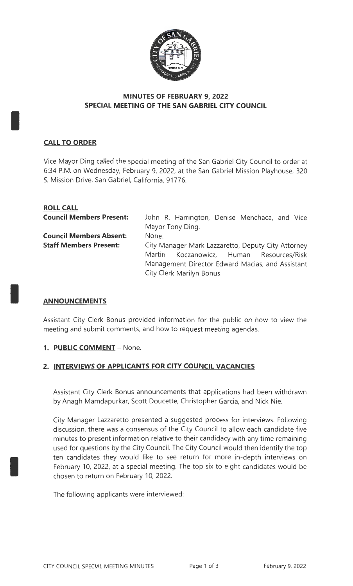

## **MINUTES OF FEBRUARY 9, 2022 SPECIAL MEETING OF THE SAN GABRIEL CITY COUNCIL**

# **CALL TO ORDER**

I

I

I

Vice Mayor Ding called the special meeting of the San Gabriel City Council to order at 6:34 P.M. on Wednesday, February 9, 2022, at the San Gabriel Mission Playhouse, 320 S. Mission Drive, San Gabriel, California, 91776.

| <b>ROLL CALL</b>                |                                                    |                                               |  |  |  |  |  |  |
|---------------------------------|----------------------------------------------------|-----------------------------------------------|--|--|--|--|--|--|
| <b>Council Members Present:</b> |                                                    | John R. Harrington, Denise Menchaca, and Vice |  |  |  |  |  |  |
|                                 | Mayor Tony Ding.                                   |                                               |  |  |  |  |  |  |
| <b>Council Members Absent:</b>  | None.                                              |                                               |  |  |  |  |  |  |
| <b>Staff Members Present:</b>   | City Manager Mark Lazzaretto, Deputy City Attorney |                                               |  |  |  |  |  |  |
|                                 |                                                    | Martin Koczanowicz, Human Resources/Risk      |  |  |  |  |  |  |
|                                 | Management Director Edward Macias, and Assistant   |                                               |  |  |  |  |  |  |
|                                 |                                                    | City Clerk Marilyn Bonus.                     |  |  |  |  |  |  |

## **ANNOUNCEMENTS**

Assistant City Clerk Bonus provided information for the public on how to view the meeting and submit comments, and how to request meeting agendas.

## **1. PUBLIC COMMENT -** None.

## **2. INTERVIEWS OF APPLICANTS FOR CITY COUNCIL VACANCIES**

Assistant City Clerk Bonus announcements that applications had been withdrawn by Anagh Mamdapurkar, Scott Doucette, Christopher Garcia, and Nick Nie.

City Manager Lazzaretto presented a suggested process for interviews. Following discussion, there was a consensus of the City Council to allow each candidate five minutes to present information relative to their candidacy with any time remaining used for questions by the City Council. The City Council would then identify the top ten candidates they would like to see return for more in-depth interviews on February 10, 2022, at a special meeting. The top six to eight candidates would be chosen to return on February 10, 2022.

The following applicants were interviewed: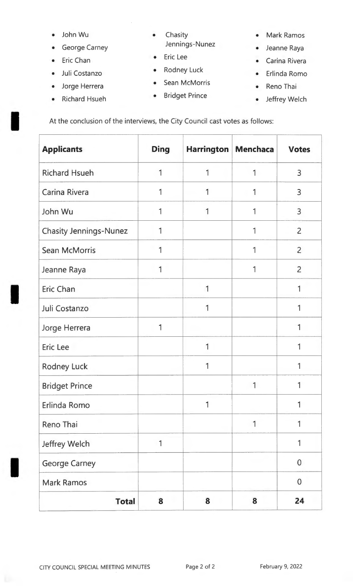- 
- George Carney **Figure 14 Sensings-Nunez** Jeanne Raya
- 
- 
- 
- Richard Hsueh Bridget Prince Jeffrey Welch
- John Wu Chasity Mark Ramos
- Eric Chan Eric Lee
- Juli Costanzo Rodney Luck
	- Sean McMorris
- • Reno Thai
- 
- 
- Carina Rivera
- Erlinda Romo
- -

• Richard Hsueh • Bridget Prince • Jeffrey Welch<br>At the conclusion of the interviews, the City Council cast votes as follows:

| <b>Applicants</b>             | <b>Ding</b> | Harrington   Menchaca |   | <b>Votes</b>   |
|-------------------------------|-------------|-----------------------|---|----------------|
| <b>Richard Hsueh</b>          |             | 1                     |   | $\overline{3}$ |
| Carina Rivera                 | 1           | 1                     | 1 | 3              |
| John Wu                       | 1           | 1                     | 1 | $\overline{3}$ |
| <b>Chasity Jennings-Nunez</b> | 1           |                       | 1 | $\overline{2}$ |
| <b>Sean McMorris</b>          | 1           |                       | 1 | $\overline{2}$ |
| Jeanne Raya                   | 1           |                       |   | $\overline{2}$ |
| <b>Eric Chan</b>              |             | 1                     |   |                |
| Juli Costanzo                 |             | 1                     |   |                |
| Jorge Herrera                 | 1           |                       |   |                |
| Eric Lee                      |             | 1                     |   |                |
| <b>Rodney Luck</b>            |             |                       |   |                |
| <b>Bridget Prince</b>         |             |                       |   |                |
| Erlinda Romo                  |             | 1                     |   |                |
| Reno Thai                     |             |                       | 1 | 1              |
| Jeffrey Welch                 | 1           |                       |   | 1              |
| <b>George Carney</b>          |             |                       |   | $\overline{0}$ |
| <b>Mark Ramos</b>             |             |                       |   | $\overline{0}$ |
| <b>Total</b>                  | 8           | 8                     | 8 | 24             |